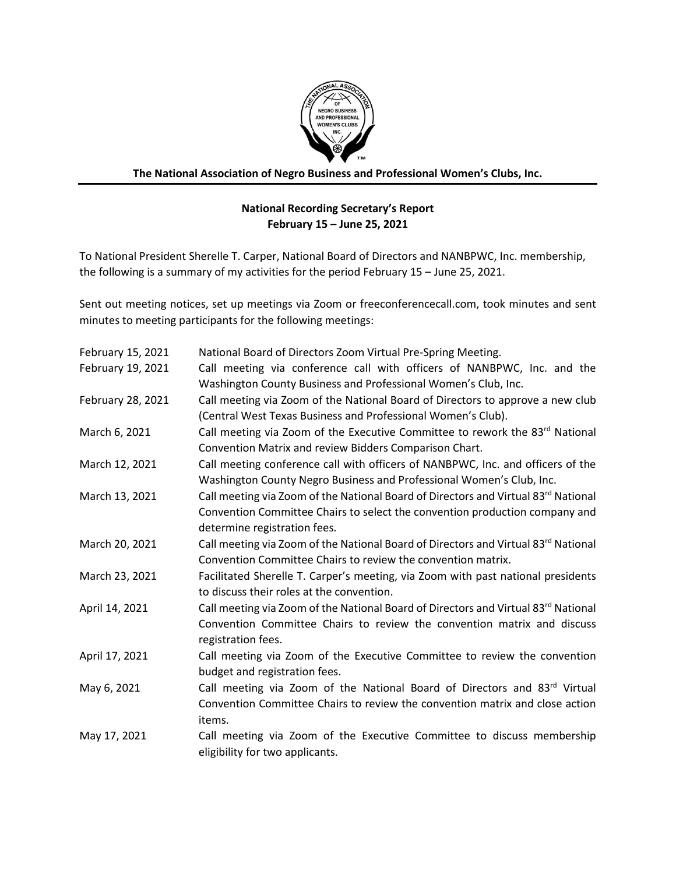

**The National Association of Negro Business and Professional Women's Clubs, Inc.**

## **National Recording Secretary's Report February 15 – June 25, 2021**

To National President Sherelle T. Carper, National Board of Directors and NANBPWC, Inc. membership, the following is a summary of my activities for the period February 15 – June 25, 2021.

Sent out meeting notices, set up meetings via Zoom or freeconferencecall.com, took minutes and sent minutes to meeting participants for the following meetings:

| February 15, 2021 | National Board of Directors Zoom Virtual Pre-Spring Meeting.                                                                                                                                      |
|-------------------|---------------------------------------------------------------------------------------------------------------------------------------------------------------------------------------------------|
| February 19, 2021 | Call meeting via conference call with officers of NANBPWC, Inc. and the<br>Washington County Business and Professional Women's Club, Inc.                                                         |
| February 28, 2021 | Call meeting via Zoom of the National Board of Directors to approve a new club<br>(Central West Texas Business and Professional Women's Club).                                                    |
| March 6, 2021     | Call meeting via Zoom of the Executive Committee to rework the 83 <sup>rd</sup> National<br>Convention Matrix and review Bidders Comparison Chart.                                                |
| March 12, 2021    | Call meeting conference call with officers of NANBPWC, Inc. and officers of the<br>Washington County Negro Business and Professional Women's Club, Inc.                                           |
| March 13, 2021    | Call meeting via Zoom of the National Board of Directors and Virtual 83rd National<br>Convention Committee Chairs to select the convention production company and<br>determine registration fees. |
| March 20, 2021    | Call meeting via Zoom of the National Board of Directors and Virtual 83rd National<br>Convention Committee Chairs to review the convention matrix.                                                |
| March 23, 2021    | Facilitated Sherelle T. Carper's meeting, via Zoom with past national presidents<br>to discuss their roles at the convention.                                                                     |
| April 14, 2021    | Call meeting via Zoom of the National Board of Directors and Virtual 83 <sup>rd</sup> National<br>Convention Committee Chairs to review the convention matrix and discuss<br>registration fees.   |
| April 17, 2021    | Call meeting via Zoom of the Executive Committee to review the convention<br>budget and registration fees.                                                                                        |
| May 6, 2021       | Call meeting via Zoom of the National Board of Directors and 83 <sup>rd</sup> Virtual<br>Convention Committee Chairs to review the convention matrix and close action<br>items.                   |
| May 17, 2021      | Call meeting via Zoom of the Executive Committee to discuss membership<br>eligibility for two applicants.                                                                                         |